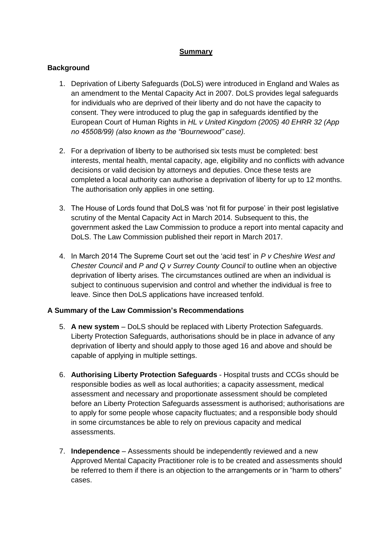## **Summary**

## **Background**

- 1. Deprivation of Liberty Safeguards (DoLS) were introduced in England and Wales as an amendment to the Mental Capacity Act in 2007. DoLS provides legal safeguards for individuals who are deprived of their liberty and do not have the capacity to consent. They were introduced to plug the gap in safeguards identified by the European Court of Human Rights in *HL v United Kingdom (2005) 40 EHRR 32 (App no 45508/99) (also known as the "Bournewood" case).*
- 2. For a deprivation of liberty to be authorised six tests must be completed: best interests, mental health, mental capacity, age, eligibility and no conflicts with advance decisions or valid decision by attorneys and deputies. Once these tests are completed a local authority can authorise a deprivation of liberty for up to 12 months. The authorisation only applies in one setting.
- 3. The House of Lords found that DoLS was 'not fit for purpose' in their post legislative scrutiny of the Mental Capacity Act in March 2014. Subsequent to this, the government asked the Law Commission to produce a report into mental capacity and DoLS. The Law Commission published their report in March 2017.
- 4. In March 2014 The Supreme Court set out the 'acid test' in *P v Cheshire West and Chester Council* and *P and Q v Surrey County Council* to outline when an objective deprivation of liberty arises*.* The circumstances outlined are when an individual is subject to continuous supervision and control and whether the individual is free to leave. Since then DoLS applications have increased tenfold.

## **A Summary of the Law Commission's Recommendations**

- 5. **A new system** DoLS should be replaced with Liberty Protection Safeguards. Liberty Protection Safeguards, authorisations should be in place in advance of any deprivation of liberty and should apply to those aged 16 and above and should be capable of applying in multiple settings.
- 6. **Authorising Liberty Protection Safeguards** Hospital trusts and CCGs should be responsible bodies as well as local authorities; a capacity assessment, medical assessment and necessary and proportionate assessment should be completed before an Liberty Protection Safeguards assessment is authorised; authorisations are to apply for some people whose capacity fluctuates; and a responsible body should in some circumstances be able to rely on previous capacity and medical assessments.
- 7. **Independence** Assessments should be independently reviewed and a new Approved Mental Capacity Practitioner role is to be created and assessments should be referred to them if there is an objection to the arrangements or in "harm to others" cases.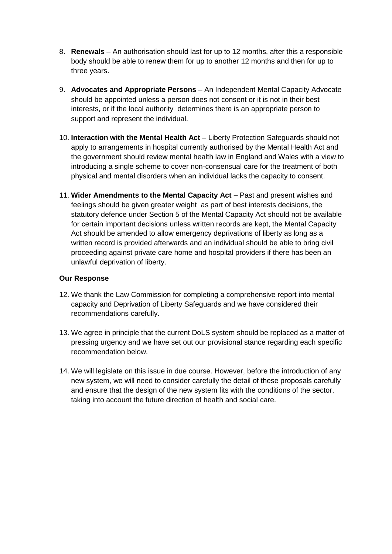- 8. **Renewals** An authorisation should last for up to 12 months, after this a responsible body should be able to renew them for up to another 12 months and then for up to three years.
- 9. **Advocates and Appropriate Persons** An Independent Mental Capacity Advocate should be appointed unless a person does not consent or it is not in their best interests, or if the local authority determines there is an appropriate person to support and represent the individual.
- 10. **Interaction with the Mental Health Act** Liberty Protection Safeguards should not apply to arrangements in hospital currently authorised by the Mental Health Act and the government should review mental health law in England and Wales with a view to introducing a single scheme to cover non-consensual care for the treatment of both physical and mental disorders when an individual lacks the capacity to consent.
- 11. **Wider Amendments to the Mental Capacity Act** Past and present wishes and feelings should be given greater weight as part of best interests decisions, the statutory defence under Section 5 of the Mental Capacity Act should not be available for certain important decisions unless written records are kept, the Mental Capacity Act should be amended to allow emergency deprivations of liberty as long as a written record is provided afterwards and an individual should be able to bring civil proceeding against private care home and hospital providers if there has been an unlawful deprivation of liberty.

## **Our Response**

- 12. We thank the Law Commission for completing a comprehensive report into mental capacity and Deprivation of Liberty Safeguards and we have considered their recommendations carefully.
- 13. We agree in principle that the current DoLS system should be replaced as a matter of pressing urgency and we have set out our provisional stance regarding each specific recommendation below.
- 14. We will legislate on this issue in due course. However, before the introduction of any new system, we will need to consider carefully the detail of these proposals carefully and ensure that the design of the new system fits with the conditions of the sector, taking into account the future direction of health and social care.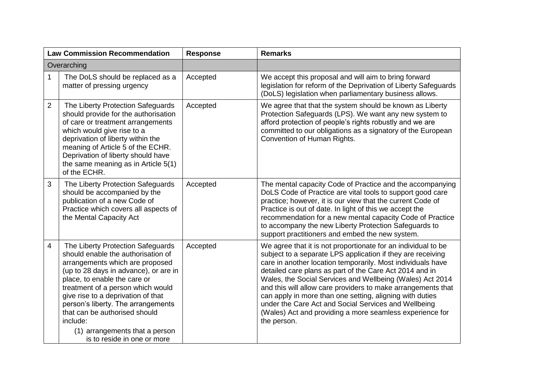| <b>Law Commission Recommendation</b>                                                                                                                                                                                                                                                                                                                                                                                    | <b>Response</b> | <b>Remarks</b>                                                                                                                                                                                                                                                                                                                                                                                                                                                                                                                                                                     |
|-------------------------------------------------------------------------------------------------------------------------------------------------------------------------------------------------------------------------------------------------------------------------------------------------------------------------------------------------------------------------------------------------------------------------|-----------------|------------------------------------------------------------------------------------------------------------------------------------------------------------------------------------------------------------------------------------------------------------------------------------------------------------------------------------------------------------------------------------------------------------------------------------------------------------------------------------------------------------------------------------------------------------------------------------|
| Overarching                                                                                                                                                                                                                                                                                                                                                                                                             |                 |                                                                                                                                                                                                                                                                                                                                                                                                                                                                                                                                                                                    |
| $\mathbf{1}$<br>The DoLS should be replaced as a<br>matter of pressing urgency                                                                                                                                                                                                                                                                                                                                          | Accepted        | We accept this proposal and will aim to bring forward<br>legislation for reform of the Deprivation of Liberty Safeguards<br>(DoLS) legislation when parliamentary business allows.                                                                                                                                                                                                                                                                                                                                                                                                 |
| $\overline{2}$<br>The Liberty Protection Safeguards<br>should provide for the authorisation<br>of care or treatment arrangements<br>which would give rise to a<br>deprivation of liberty within the<br>meaning of Article 5 of the ECHR.<br>Deprivation of liberty should have<br>the same meaning as in Article 5(1)<br>of the ECHR.                                                                                   | Accepted        | We agree that that the system should be known as Liberty<br>Protection Safeguards (LPS). We want any new system to<br>afford protection of people's rights robustly and we are<br>committed to our obligations as a signatory of the European<br>Convention of Human Rights.                                                                                                                                                                                                                                                                                                       |
| 3<br>The Liberty Protection Safeguards<br>should be accompanied by the<br>publication of a new Code of<br>Practice which covers all aspects of<br>the Mental Capacity Act                                                                                                                                                                                                                                               | Accepted        | The mental capacity Code of Practice and the accompanying<br>DoLS Code of Practice are vital tools to support good care<br>practice; however, it is our view that the current Code of<br>Practice is out of date. In light of this we accept the<br>recommendation for a new mental capacity Code of Practice<br>to accompany the new Liberty Protection Safeguards to<br>support practitioners and embed the new system.                                                                                                                                                          |
| The Liberty Protection Safeguards<br>4<br>should enable the authorisation of<br>arrangements which are proposed<br>(up to 28 days in advance), or are in<br>place, to enable the care or<br>treatment of a person which would<br>give rise to a deprivation of that<br>person's liberty. The arrangements<br>that can be authorised should<br>include:<br>(1) arrangements that a person<br>is to reside in one or more | Accepted        | We agree that it is not proportionate for an individual to be<br>subject to a separate LPS application if they are receiving<br>care in another location temporarily. Most individuals have<br>detailed care plans as part of the Care Act 2014 and in<br>Wales, the Social Services and Wellbeing (Wales) Act 2014<br>and this will allow care providers to make arrangements that<br>can apply in more than one setting, aligning with duties<br>under the Care Act and Social Services and Wellbeing<br>(Wales) Act and providing a more seamless experience for<br>the person. |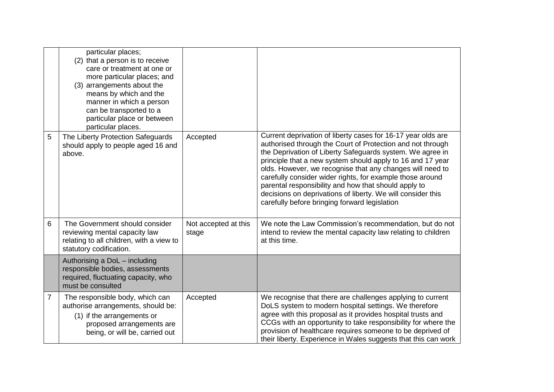|                | particular places;<br>(2) that a person is to receive<br>care or treatment at one or<br>more particular places; and<br>(3) arrangements about the<br>means by which and the<br>manner in which a person<br>can be transported to a<br>particular place or between<br>particular places. |                               |                                                                                                                                                                                                                                                                                                                                                                                                                                                                                                                                                         |
|----------------|-----------------------------------------------------------------------------------------------------------------------------------------------------------------------------------------------------------------------------------------------------------------------------------------|-------------------------------|---------------------------------------------------------------------------------------------------------------------------------------------------------------------------------------------------------------------------------------------------------------------------------------------------------------------------------------------------------------------------------------------------------------------------------------------------------------------------------------------------------------------------------------------------------|
| 5              | The Liberty Protection Safeguards<br>should apply to people aged 16 and<br>above.                                                                                                                                                                                                       | Accepted                      | Current deprivation of liberty cases for 16-17 year olds are<br>authorised through the Court of Protection and not through<br>the Deprivation of Liberty Safeguards system. We agree in<br>principle that a new system should apply to 16 and 17 year<br>olds. However, we recognise that any changes will need to<br>carefully consider wider rights, for example those around<br>parental responsibility and how that should apply to<br>decisions on deprivations of liberty. We will consider this<br>carefully before bringing forward legislation |
| 6              | The Government should consider<br>reviewing mental capacity law<br>relating to all children, with a view to<br>statutory codification.                                                                                                                                                  | Not accepted at this<br>stage | We note the Law Commission's recommendation, but do not<br>intend to review the mental capacity law relating to children<br>at this time.                                                                                                                                                                                                                                                                                                                                                                                                               |
|                | Authorising a DoL - including<br>responsible bodies, assessments<br>required, fluctuating capacity, who<br>must be consulted                                                                                                                                                            |                               |                                                                                                                                                                                                                                                                                                                                                                                                                                                                                                                                                         |
| $\overline{7}$ | The responsible body, which can<br>authorise arrangements, should be:<br>(1) if the arrangements or<br>proposed arrangements are<br>being, or will be, carried out                                                                                                                      | Accepted                      | We recognise that there are challenges applying to current<br>DoLS system to modern hospital settings. We therefore<br>agree with this proposal as it provides hospital trusts and<br>CCGs with an opportunity to take responsibility for where the<br>provision of healthcare requires someone to be deprived of<br>their liberty. Experience in Wales suggests that this can work                                                                                                                                                                     |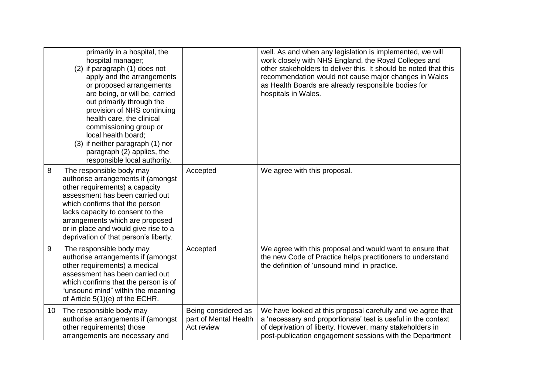|                 | primarily in a hospital, the<br>hospital manager;<br>(2) if paragraph (1) does not<br>apply and the arrangements<br>or proposed arrangements<br>are being, or will be, carried<br>out primarily through the<br>provision of NHS continuing<br>health care, the clinical<br>commissioning group or<br>local health board;<br>(3) if neither paragraph (1) nor<br>paragraph (2) applies, the<br>responsible local authority. |                                                            | well. As and when any legislation is implemented, we will<br>work closely with NHS England, the Royal Colleges and<br>other stakeholders to deliver this. It should be noted that this<br>recommendation would not cause major changes in Wales<br>as Health Boards are already responsible bodies for<br>hospitals in Wales. |
|-----------------|----------------------------------------------------------------------------------------------------------------------------------------------------------------------------------------------------------------------------------------------------------------------------------------------------------------------------------------------------------------------------------------------------------------------------|------------------------------------------------------------|-------------------------------------------------------------------------------------------------------------------------------------------------------------------------------------------------------------------------------------------------------------------------------------------------------------------------------|
| 8               | The responsible body may<br>authorise arrangements if (amongst<br>other requirements) a capacity<br>assessment has been carried out<br>which confirms that the person<br>lacks capacity to consent to the<br>arrangements which are proposed<br>or in place and would give rise to a<br>deprivation of that person's liberty.                                                                                              | Accepted                                                   | We agree with this proposal.                                                                                                                                                                                                                                                                                                  |
| 9               | The responsible body may<br>authorise arrangements if (amongst<br>other requirements) a medical<br>assessment has been carried out<br>which confirms that the person is of<br>"unsound mind" within the meaning<br>of Article 5(1)(e) of the ECHR.                                                                                                                                                                         | Accepted                                                   | We agree with this proposal and would want to ensure that<br>the new Code of Practice helps practitioners to understand<br>the definition of 'unsound mind' in practice.                                                                                                                                                      |
| 10 <sup>°</sup> | The responsible body may<br>authorise arrangements if (amongst<br>other requirements) those<br>arrangements are necessary and                                                                                                                                                                                                                                                                                              | Being considered as<br>part of Mental Health<br>Act review | We have looked at this proposal carefully and we agree that<br>a 'necessary and proportionate' test is useful in the context<br>of deprivation of liberty. However, many stakeholders in<br>post-publication engagement sessions with the Department                                                                          |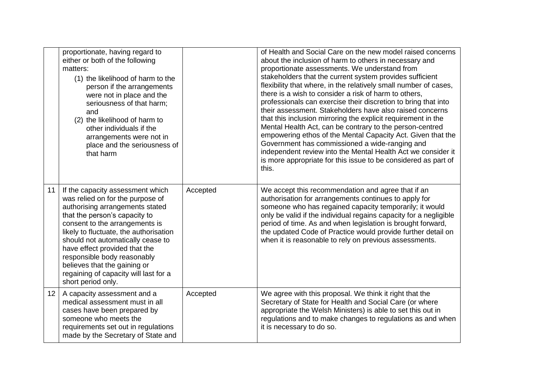|                 | proportionate, having regard to<br>either or both of the following<br>matters:<br>(1) the likelihood of harm to the<br>person if the arrangements<br>were not in place and the<br>seriousness of that harm;<br>and<br>(2) the likelihood of harm to<br>other individuals if the<br>arrangements were not in<br>place and the seriousness of<br>that harm                                                                 |          | of Health and Social Care on the new model raised concerns<br>about the inclusion of harm to others in necessary and<br>proportionate assessments. We understand from<br>stakeholders that the current system provides sufficient<br>flexibility that where, in the relatively small number of cases,<br>there is a wish to consider a risk of harm to others,<br>professionals can exercise their discretion to bring that into<br>their assessment. Stakeholders have also raised concerns<br>that this inclusion mirroring the explicit requirement in the<br>Mental Health Act, can be contrary to the person-centred<br>empowering ethos of the Mental Capacity Act. Given that the<br>Government has commissioned a wide-ranging and<br>independent review into the Mental Health Act we consider it<br>is more appropriate for this issue to be considered as part of<br>this. |
|-----------------|--------------------------------------------------------------------------------------------------------------------------------------------------------------------------------------------------------------------------------------------------------------------------------------------------------------------------------------------------------------------------------------------------------------------------|----------|---------------------------------------------------------------------------------------------------------------------------------------------------------------------------------------------------------------------------------------------------------------------------------------------------------------------------------------------------------------------------------------------------------------------------------------------------------------------------------------------------------------------------------------------------------------------------------------------------------------------------------------------------------------------------------------------------------------------------------------------------------------------------------------------------------------------------------------------------------------------------------------|
| 11              | If the capacity assessment which<br>was relied on for the purpose of<br>authorising arrangements stated<br>that the person's capacity to<br>consent to the arrangements is<br>likely to fluctuate, the authorisation<br>should not automatically cease to<br>have effect provided that the<br>responsible body reasonably<br>believes that the gaining or<br>regaining of capacity will last for a<br>short period only. | Accepted | We accept this recommendation and agree that if an<br>authorisation for arrangements continues to apply for<br>someone who has regained capacity temporarily; it would<br>only be valid if the individual regains capacity for a negligible<br>period of time. As and when legislation is brought forward,<br>the updated Code of Practice would provide further detail on<br>when it is reasonable to rely on previous assessments.                                                                                                                                                                                                                                                                                                                                                                                                                                                  |
| 12 <sup>2</sup> | A capacity assessment and a<br>medical assessment must in all<br>cases have been prepared by<br>someone who meets the<br>requirements set out in regulations<br>made by the Secretary of State and                                                                                                                                                                                                                       | Accepted | We agree with this proposal. We think it right that the<br>Secretary of State for Health and Social Care (or where<br>appropriate the Welsh Ministers) is able to set this out in<br>regulations and to make changes to regulations as and when<br>it is necessary to do so.                                                                                                                                                                                                                                                                                                                                                                                                                                                                                                                                                                                                          |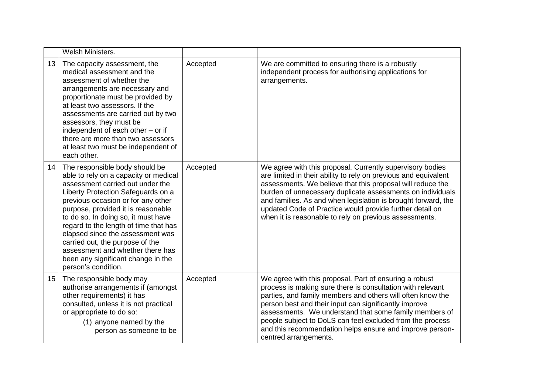|                 | Welsh Ministers.                                                                                                                                                                                                                                                                                                                                                                                                                                                                      |          |                                                                                                                                                                                                                                                                                                                                                                                                                                                         |
|-----------------|---------------------------------------------------------------------------------------------------------------------------------------------------------------------------------------------------------------------------------------------------------------------------------------------------------------------------------------------------------------------------------------------------------------------------------------------------------------------------------------|----------|---------------------------------------------------------------------------------------------------------------------------------------------------------------------------------------------------------------------------------------------------------------------------------------------------------------------------------------------------------------------------------------------------------------------------------------------------------|
| 13 <sup>°</sup> | The capacity assessment, the<br>medical assessment and the<br>assessment of whether the<br>arrangements are necessary and<br>proportionate must be provided by<br>at least two assessors. If the<br>assessments are carried out by two<br>assessors, they must be<br>independent of each other - or if<br>there are more than two assessors<br>at least two must be independent of<br>each other.                                                                                     | Accepted | We are committed to ensuring there is a robustly<br>independent process for authorising applications for<br>arrangements.                                                                                                                                                                                                                                                                                                                               |
| 14              | The responsible body should be<br>able to rely on a capacity or medical<br>assessment carried out under the<br>Liberty Protection Safeguards on a<br>previous occasion or for any other<br>purpose, provided it is reasonable<br>to do so. In doing so, it must have<br>regard to the length of time that has<br>elapsed since the assessment was<br>carried out, the purpose of the<br>assessment and whether there has<br>been any significant change in the<br>person's condition. | Accepted | We agree with this proposal. Currently supervisory bodies<br>are limited in their ability to rely on previous and equivalent<br>assessments. We believe that this proposal will reduce the<br>burden of unnecessary duplicate assessments on individuals<br>and families. As and when legislation is brought forward, the<br>updated Code of Practice would provide further detail on<br>when it is reasonable to rely on previous assessments.         |
| 15 <sub>1</sub> | The responsible body may<br>authorise arrangements if (amongst<br>other requirements) it has<br>consulted, unless it is not practical<br>or appropriate to do so:<br>(1) anyone named by the<br>person as someone to be                                                                                                                                                                                                                                                               | Accepted | We agree with this proposal. Part of ensuring a robust<br>process is making sure there is consultation with relevant<br>parties, and family members and others will often know the<br>person best and their input can significantly improve<br>assessments. We understand that some family members of<br>people subject to DoLS can feel excluded from the process<br>and this recommendation helps ensure and improve person-<br>centred arrangements. |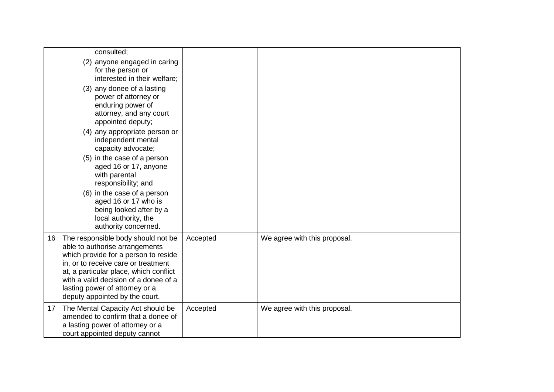|    | consulted;<br>(2) anyone engaged in caring<br>for the person or<br>interested in their welfare;<br>(3) any donee of a lasting<br>power of attorney or<br>enduring power of<br>attorney, and any court<br>appointed deputy;<br>(4) any appropriate person or<br>independent mental<br>capacity advocate;<br>(5) in the case of a person<br>aged 16 or 17, anyone<br>with parental<br>responsibility; and<br>(6) in the case of a person<br>aged 16 or 17 who is<br>being looked after by a<br>local authority, the<br>authority concerned. |          |                              |
|----|-------------------------------------------------------------------------------------------------------------------------------------------------------------------------------------------------------------------------------------------------------------------------------------------------------------------------------------------------------------------------------------------------------------------------------------------------------------------------------------------------------------------------------------------|----------|------------------------------|
| 16 | The responsible body should not be<br>able to authorise arrangements<br>which provide for a person to reside<br>in, or to receive care or treatment<br>at, a particular place, which conflict<br>with a valid decision of a donee of a<br>lasting power of attorney or a<br>deputy appointed by the court.                                                                                                                                                                                                                                | Accepted | We agree with this proposal. |
| 17 | The Mental Capacity Act should be<br>amended to confirm that a donee of<br>a lasting power of attorney or a<br>court appointed deputy cannot                                                                                                                                                                                                                                                                                                                                                                                              | Accepted | We agree with this proposal. |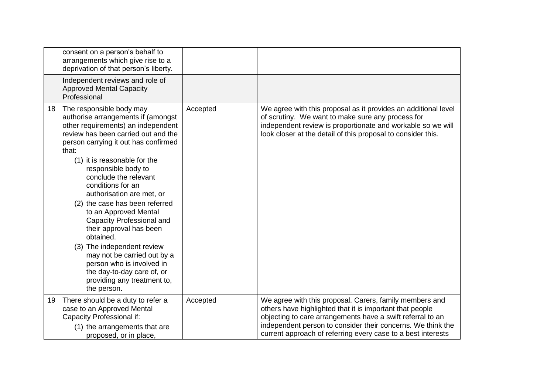|    | consent on a person's behalf to<br>arrangements which give rise to a<br>deprivation of that person's liberty.                                                                                                                                                                                                                                                                                                                                                                                                                                                                                                                        |          |                                                                                                                                                                                                                                                                                                                  |
|----|--------------------------------------------------------------------------------------------------------------------------------------------------------------------------------------------------------------------------------------------------------------------------------------------------------------------------------------------------------------------------------------------------------------------------------------------------------------------------------------------------------------------------------------------------------------------------------------------------------------------------------------|----------|------------------------------------------------------------------------------------------------------------------------------------------------------------------------------------------------------------------------------------------------------------------------------------------------------------------|
|    | Independent reviews and role of<br><b>Approved Mental Capacity</b><br>Professional                                                                                                                                                                                                                                                                                                                                                                                                                                                                                                                                                   |          |                                                                                                                                                                                                                                                                                                                  |
| 18 | The responsible body may<br>authorise arrangements if (amongst<br>other requirements) an independent<br>review has been carried out and the<br>person carrying it out has confirmed<br>that:<br>(1) it is reasonable for the<br>responsible body to<br>conclude the relevant<br>conditions for an<br>authorisation are met, or<br>(2) the case has been referred<br>to an Approved Mental<br>Capacity Professional and<br>their approval has been<br>obtained.<br>(3) The independent review<br>may not be carried out by a<br>person who is involved in<br>the day-to-day care of, or<br>providing any treatment to,<br>the person. | Accepted | We agree with this proposal as it provides an additional level<br>of scrutiny. We want to make sure any process for<br>independent review is proportionate and workable so we will<br>look closer at the detail of this proposal to consider this.                                                               |
| 19 | There should be a duty to refer a<br>case to an Approved Mental<br>Capacity Professional if:<br>(1) the arrangements that are<br>proposed, or in place,                                                                                                                                                                                                                                                                                                                                                                                                                                                                              | Accepted | We agree with this proposal. Carers, family members and<br>others have highlighted that it is important that people<br>objecting to care arrangements have a swift referral to an<br>independent person to consider their concerns. We think the<br>current approach of referring every case to a best interests |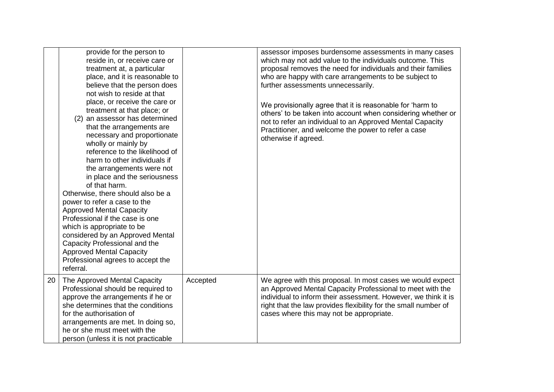|    | provide for the person to<br>reside in, or receive care or<br>treatment at, a particular<br>place, and it is reasonable to<br>believe that the person does<br>not wish to reside at that<br>place, or receive the care or<br>treatment at that place; or<br>an assessor has determined<br>(2)<br>that the arrangements are<br>necessary and proportionate<br>wholly or mainly by<br>reference to the likelihood of<br>harm to other individuals if<br>the arrangements were not<br>in place and the seriousness<br>of that harm.<br>Otherwise, there should also be a<br>power to refer a case to the<br><b>Approved Mental Capacity</b><br>Professional if the case is one<br>which is appropriate to be<br>considered by an Approved Mental<br>Capacity Professional and the<br><b>Approved Mental Capacity</b><br>Professional agrees to accept the<br>referral. |          | assessor imposes burdensome assessments in many cases<br>which may not add value to the individuals outcome. This<br>proposal removes the need for individuals and their families<br>who are happy with care arrangements to be subject to<br>further assessments unnecessarily.<br>We provisionally agree that it is reasonable for 'harm to<br>others' to be taken into account when considering whether or<br>not to refer an individual to an Approved Mental Capacity<br>Practitioner, and welcome the power to refer a case<br>otherwise if agreed. |
|----|---------------------------------------------------------------------------------------------------------------------------------------------------------------------------------------------------------------------------------------------------------------------------------------------------------------------------------------------------------------------------------------------------------------------------------------------------------------------------------------------------------------------------------------------------------------------------------------------------------------------------------------------------------------------------------------------------------------------------------------------------------------------------------------------------------------------------------------------------------------------|----------|-----------------------------------------------------------------------------------------------------------------------------------------------------------------------------------------------------------------------------------------------------------------------------------------------------------------------------------------------------------------------------------------------------------------------------------------------------------------------------------------------------------------------------------------------------------|
| 20 | The Approved Mental Capacity<br>Professional should be required to<br>approve the arrangements if he or<br>she determines that the conditions<br>for the authorisation of<br>arrangements are met. In doing so,<br>he or she must meet with the<br>person (unless it is not practicable                                                                                                                                                                                                                                                                                                                                                                                                                                                                                                                                                                             | Accepted | We agree with this proposal. In most cases we would expect<br>an Approved Mental Capacity Professional to meet with the<br>individual to inform their assessment. However, we think it is<br>right that the law provides flexibility for the small number of<br>cases where this may not be appropriate.                                                                                                                                                                                                                                                  |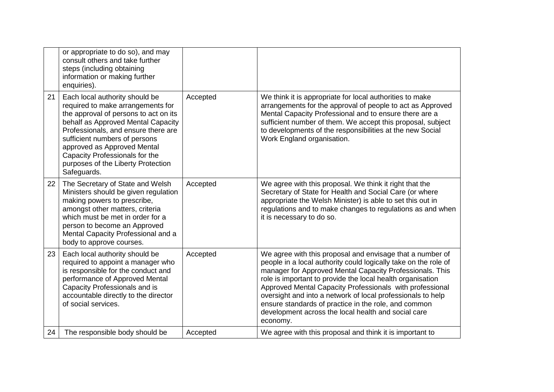|    | or appropriate to do so), and may<br>consult others and take further<br>steps (including obtaining<br>information or making further<br>enquiries).                                                                                                                                                                                               |          |                                                                                                                                                                                                                                                                                                                                                                                                                                                                                                              |
|----|--------------------------------------------------------------------------------------------------------------------------------------------------------------------------------------------------------------------------------------------------------------------------------------------------------------------------------------------------|----------|--------------------------------------------------------------------------------------------------------------------------------------------------------------------------------------------------------------------------------------------------------------------------------------------------------------------------------------------------------------------------------------------------------------------------------------------------------------------------------------------------------------|
| 21 | Each local authority should be<br>required to make arrangements for<br>the approval of persons to act on its<br>behalf as Approved Mental Capacity<br>Professionals, and ensure there are<br>sufficient numbers of persons<br>approved as Approved Mental<br>Capacity Professionals for the<br>purposes of the Liberty Protection<br>Safeguards. | Accepted | We think it is appropriate for local authorities to make<br>arrangements for the approval of people to act as Approved<br>Mental Capacity Professional and to ensure there are a<br>sufficient number of them. We accept this proposal, subject<br>to developments of the responsibilities at the new Social<br>Work England organisation.                                                                                                                                                                   |
| 22 | The Secretary of State and Welsh<br>Ministers should be given regulation<br>making powers to prescribe,<br>amongst other matters, criteria<br>which must be met in order for a<br>person to become an Approved<br>Mental Capacity Professional and a<br>body to approve courses.                                                                 | Accepted | We agree with this proposal. We think it right that the<br>Secretary of State for Health and Social Care (or where<br>appropriate the Welsh Minister) is able to set this out in<br>regulations and to make changes to regulations as and when<br>it is necessary to do so.                                                                                                                                                                                                                                  |
| 23 | Each local authority should be<br>required to appoint a manager who<br>is responsible for the conduct and<br>performance of Approved Mental<br>Capacity Professionals and is<br>accountable directly to the director<br>of social services.                                                                                                      | Accepted | We agree with this proposal and envisage that a number of<br>people in a local authority could logically take on the role of<br>manager for Approved Mental Capacity Professionals. This<br>role is important to provide the local health organisation<br>Approved Mental Capacity Professionals with professional<br>oversight and into a network of local professionals to help<br>ensure standards of practice in the role, and common<br>development across the local health and social care<br>economy. |
| 24 | The responsible body should be                                                                                                                                                                                                                                                                                                                   | Accepted | We agree with this proposal and think it is important to                                                                                                                                                                                                                                                                                                                                                                                                                                                     |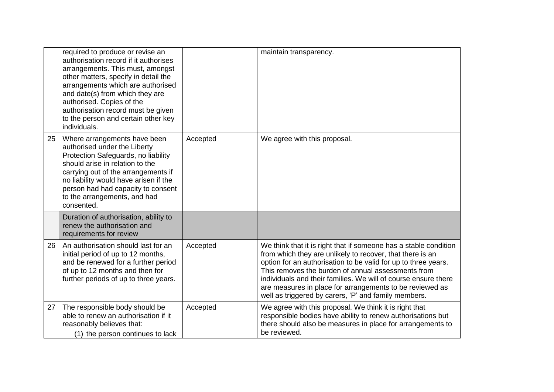|    | required to produce or revise an<br>authorisation record if it authorises<br>arrangements. This must, amongst<br>other matters, specify in detail the<br>arrangements which are authorised<br>and date(s) from which they are<br>authorised. Copies of the<br>authorisation record must be given<br>to the person and certain other key<br>individuals. |          | maintain transparency.                                                                                                                                                                                                                                                                                                                                                                                                                      |
|----|---------------------------------------------------------------------------------------------------------------------------------------------------------------------------------------------------------------------------------------------------------------------------------------------------------------------------------------------------------|----------|---------------------------------------------------------------------------------------------------------------------------------------------------------------------------------------------------------------------------------------------------------------------------------------------------------------------------------------------------------------------------------------------------------------------------------------------|
| 25 | Where arrangements have been<br>authorised under the Liberty<br>Protection Safeguards, no liability<br>should arise in relation to the<br>carrying out of the arrangements if<br>no liability would have arisen if the<br>person had had capacity to consent<br>to the arrangements, and had<br>consented.                                              | Accepted | We agree with this proposal.                                                                                                                                                                                                                                                                                                                                                                                                                |
|    | Duration of authorisation, ability to<br>renew the authorisation and<br>requirements for review                                                                                                                                                                                                                                                         |          |                                                                                                                                                                                                                                                                                                                                                                                                                                             |
| 26 | An authorisation should last for an<br>initial period of up to 12 months,<br>and be renewed for a further period<br>of up to 12 months and then for<br>further periods of up to three years.                                                                                                                                                            | Accepted | We think that it is right that if someone has a stable condition<br>from which they are unlikely to recover, that there is an<br>option for an authorisation to be valid for up to three years.<br>This removes the burden of annual assessments from<br>individuals and their families. We will of course ensure there<br>are measures in place for arrangements to be reviewed as<br>well as triggered by carers, 'P' and family members. |
| 27 | The responsible body should be<br>able to renew an authorisation if it<br>reasonably believes that:<br>(1) the person continues to lack                                                                                                                                                                                                                 | Accepted | We agree with this proposal. We think it is right that<br>responsible bodies have ability to renew authorisations but<br>there should also be measures in place for arrangements to<br>be reviewed.                                                                                                                                                                                                                                         |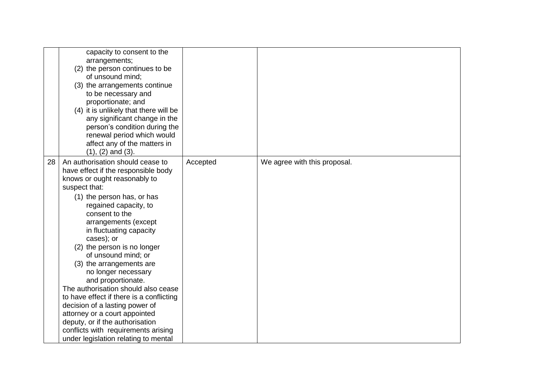|    | capacity to consent to the<br>arrangements;<br>(2) the person continues to be<br>of unsound mind;<br>(3) the arrangements continue<br>to be necessary and<br>proportionate; and<br>(4) it is unlikely that there will be<br>any significant change in the<br>person's condition during the<br>renewal period which would<br>affect any of the matters in<br>$(1), (2)$ and $(3).$                                                                                                                                                                                                                                                                                         |          |                              |
|----|---------------------------------------------------------------------------------------------------------------------------------------------------------------------------------------------------------------------------------------------------------------------------------------------------------------------------------------------------------------------------------------------------------------------------------------------------------------------------------------------------------------------------------------------------------------------------------------------------------------------------------------------------------------------------|----------|------------------------------|
| 28 | An authorisation should cease to<br>have effect if the responsible body<br>knows or ought reasonably to<br>suspect that:<br>(1) the person has, or has<br>regained capacity, to<br>consent to the<br>arrangements (except<br>in fluctuating capacity<br>cases); or<br>(2) the person is no longer<br>of unsound mind; or<br>(3) the arrangements are<br>no longer necessary<br>and proportionate.<br>The authorisation should also cease<br>to have effect if there is a conflicting<br>decision of a lasting power of<br>attorney or a court appointed<br>deputy, or if the authorisation<br>conflicts with requirements arising<br>under legislation relating to mental | Accepted | We agree with this proposal. |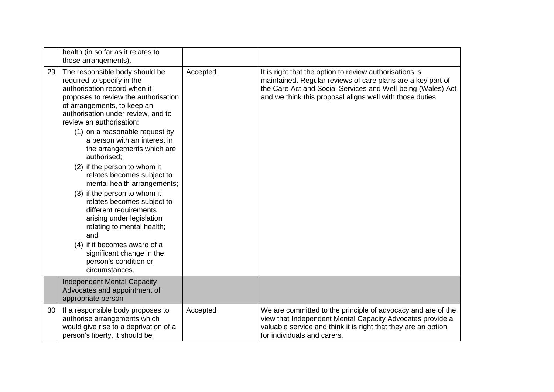|    | health (in so far as it relates to<br>those arrangements).                                                                                                                                                                                                                                                                                                                                                                                                                                                                                                                                                                                                                                                          |          |                                                                                                                                                                                                                                                    |
|----|---------------------------------------------------------------------------------------------------------------------------------------------------------------------------------------------------------------------------------------------------------------------------------------------------------------------------------------------------------------------------------------------------------------------------------------------------------------------------------------------------------------------------------------------------------------------------------------------------------------------------------------------------------------------------------------------------------------------|----------|----------------------------------------------------------------------------------------------------------------------------------------------------------------------------------------------------------------------------------------------------|
| 29 | The responsible body should be<br>required to specify in the<br>authorisation record when it<br>proposes to review the authorisation<br>of arrangements, to keep an<br>authorisation under review, and to<br>review an authorisation:<br>(1) on a reasonable request by<br>a person with an interest in<br>the arrangements which are<br>authorised:<br>(2) if the person to whom it<br>relates becomes subject to<br>mental health arrangements;<br>(3) if the person to whom it<br>relates becomes subject to<br>different requirements<br>arising under legislation<br>relating to mental health;<br>and<br>(4) if it becomes aware of a<br>significant change in the<br>person's condition or<br>circumstances. | Accepted | It is right that the option to review authorisations is<br>maintained. Regular reviews of care plans are a key part of<br>the Care Act and Social Services and Well-being (Wales) Act<br>and we think this proposal aligns well with those duties. |
|    | <b>Independent Mental Capacity</b><br>Advocates and appointment of<br>appropriate person                                                                                                                                                                                                                                                                                                                                                                                                                                                                                                                                                                                                                            |          |                                                                                                                                                                                                                                                    |
| 30 | If a responsible body proposes to<br>authorise arrangements which<br>would give rise to a deprivation of a<br>person's liberty, it should be                                                                                                                                                                                                                                                                                                                                                                                                                                                                                                                                                                        | Accepted | We are committed to the principle of advocacy and are of the<br>view that Independent Mental Capacity Advocates provide a<br>valuable service and think it is right that they are an option<br>for individuals and carers.                         |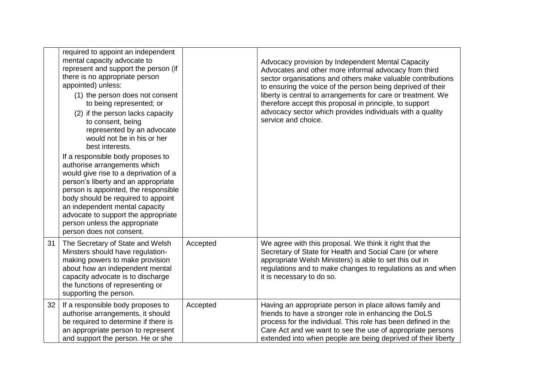|    | required to appoint an independent<br>mental capacity advocate to<br>represent and support the person (if<br>there is no appropriate person<br>appointed) unless:<br>(1) the person does not consent<br>to being represented; or<br>(2) if the person lacks capacity<br>to consent, being<br>represented by an advocate<br>would not be in his or her<br>best interests.<br>If a responsible body proposes to<br>authorise arrangements which<br>would give rise to a deprivation of a<br>person's liberty and an appropriate<br>person is appointed, the responsible<br>body should be required to appoint<br>an independent mental capacity<br>advocate to support the appropriate<br>person unless the appropriate<br>person does not consent. |          | Advocacy provision by Independent Mental Capacity<br>Advocates and other more informal advocacy from third<br>sector organisations and others make valuable contributions<br>to ensuring the voice of the person being deprived of their<br>liberty is central to arrangements for care or treatment. We<br>therefore accept this proposal in principle, to support<br>advocacy sector which provides individuals with a quality<br>service and choice. |
|----|---------------------------------------------------------------------------------------------------------------------------------------------------------------------------------------------------------------------------------------------------------------------------------------------------------------------------------------------------------------------------------------------------------------------------------------------------------------------------------------------------------------------------------------------------------------------------------------------------------------------------------------------------------------------------------------------------------------------------------------------------|----------|---------------------------------------------------------------------------------------------------------------------------------------------------------------------------------------------------------------------------------------------------------------------------------------------------------------------------------------------------------------------------------------------------------------------------------------------------------|
| 31 | The Secretary of State and Welsh<br>Minsters should have regulation-<br>making powers to make provision<br>about how an independent mental<br>capacity advocate is to discharge<br>the functions of representing or<br>supporting the person.                                                                                                                                                                                                                                                                                                                                                                                                                                                                                                     | Accepted | We agree with this proposal. We think it right that the<br>Secretary of State for Health and Social Care (or where<br>appropriate Welsh Ministers) is able to set this out in<br>regulations and to make changes to regulations as and when<br>it is necessary to do so.                                                                                                                                                                                |
| 32 | If a responsible body proposes to<br>authorise arrangements, it should<br>be required to determine if there is<br>an appropriate person to represent<br>and support the person. He or she                                                                                                                                                                                                                                                                                                                                                                                                                                                                                                                                                         | Accepted | Having an appropriate person in place allows family and<br>friends to have a stronger role in enhancing the DoLS<br>process for the individual. This role has been defined in the<br>Care Act and we want to see the use of appropriate persons<br>extended into when people are being deprived of their liberty                                                                                                                                        |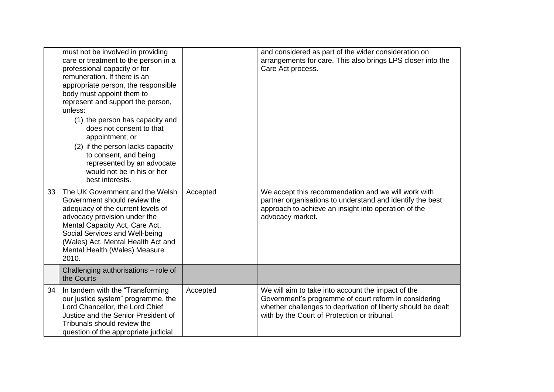|    | must not be involved in providing<br>care or treatment to the person in a<br>professional capacity or for<br>remuneration. If there is an<br>appropriate person, the responsible<br>body must appoint them to<br>represent and support the person,<br>unless:<br>(1) the person has capacity and<br>does not consent to that<br>appointment; or<br>(2) if the person lacks capacity<br>to consent, and being<br>represented by an advocate<br>would not be in his or her<br>best interests. |          | and considered as part of the wider consideration on<br>arrangements for care. This also brings LPS closer into the<br>Care Act process.                                                                                    |
|----|---------------------------------------------------------------------------------------------------------------------------------------------------------------------------------------------------------------------------------------------------------------------------------------------------------------------------------------------------------------------------------------------------------------------------------------------------------------------------------------------|----------|-----------------------------------------------------------------------------------------------------------------------------------------------------------------------------------------------------------------------------|
| 33 | The UK Government and the Welsh<br>Government should review the<br>adequacy of the current levels of<br>advocacy provision under the<br>Mental Capacity Act, Care Act,<br>Social Services and Well-being<br>(Wales) Act, Mental Health Act and<br>Mental Health (Wales) Measure<br>2010.                                                                                                                                                                                                    | Accepted | We accept this recommendation and we will work with<br>partner organisations to understand and identify the best<br>approach to achieve an insight into operation of the<br>advocacy market.                                |
|    | Challenging authorisations - role of<br>the Courts                                                                                                                                                                                                                                                                                                                                                                                                                                          |          |                                                                                                                                                                                                                             |
| 34 | In tandem with the "Transforming<br>our justice system" programme, the<br>Lord Chancellor, the Lord Chief<br>Justice and the Senior President of<br>Tribunals should review the<br>question of the appropriate judicial                                                                                                                                                                                                                                                                     | Accepted | We will aim to take into account the impact of the<br>Government's programme of court reform in considering<br>whether challenges to deprivation of liberty should be dealt<br>with by the Court of Protection or tribunal. |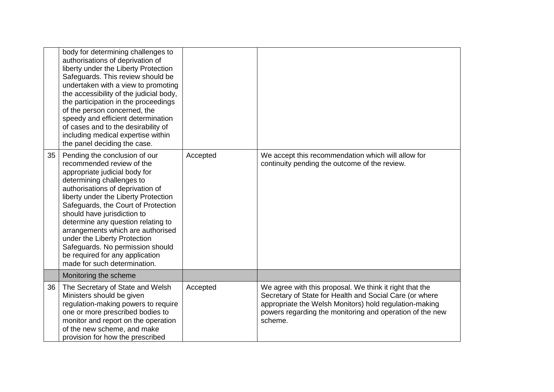|    | body for determining challenges to<br>authorisations of deprivation of<br>liberty under the Liberty Protection<br>Safeguards. This review should be<br>undertaken with a view to promoting<br>the accessibility of the judicial body,<br>the participation in the proceedings<br>of the person concerned, the<br>speedy and efficient determination<br>of cases and to the desirability of<br>including medical expertise within<br>the panel deciding the case.                             |          |                                                                                                                                                                                                                                                     |
|----|----------------------------------------------------------------------------------------------------------------------------------------------------------------------------------------------------------------------------------------------------------------------------------------------------------------------------------------------------------------------------------------------------------------------------------------------------------------------------------------------|----------|-----------------------------------------------------------------------------------------------------------------------------------------------------------------------------------------------------------------------------------------------------|
| 35 | Pending the conclusion of our<br>recommended review of the<br>appropriate judicial body for<br>determining challenges to<br>authorisations of deprivation of<br>liberty under the Liberty Protection<br>Safeguards, the Court of Protection<br>should have jurisdiction to<br>determine any question relating to<br>arrangements which are authorised<br>under the Liberty Protection<br>Safeguards. No permission should<br>be required for any application<br>made for such determination. | Accepted | We accept this recommendation which will allow for<br>continuity pending the outcome of the review.                                                                                                                                                 |
|    | Monitoring the scheme                                                                                                                                                                                                                                                                                                                                                                                                                                                                        |          |                                                                                                                                                                                                                                                     |
| 36 | The Secretary of State and Welsh<br>Ministers should be given<br>regulation-making powers to require<br>one or more prescribed bodies to<br>monitor and report on the operation<br>of the new scheme, and make<br>provision for how the prescribed                                                                                                                                                                                                                                           | Accepted | We agree with this proposal. We think it right that the<br>Secretary of State for Health and Social Care (or where<br>appropriate the Welsh Monitors) hold regulation-making<br>powers regarding the monitoring and operation of the new<br>scheme. |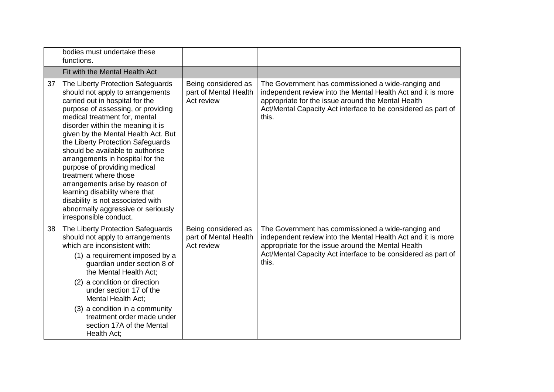|    | bodies must undertake these<br>functions.                                                                                                                                                                                                                                                                                                                                                                                                                                                                                                                                                                   |                                                            |                                                                                                                                                                                                                                                    |
|----|-------------------------------------------------------------------------------------------------------------------------------------------------------------------------------------------------------------------------------------------------------------------------------------------------------------------------------------------------------------------------------------------------------------------------------------------------------------------------------------------------------------------------------------------------------------------------------------------------------------|------------------------------------------------------------|----------------------------------------------------------------------------------------------------------------------------------------------------------------------------------------------------------------------------------------------------|
|    | Fit with the Mental Health Act                                                                                                                                                                                                                                                                                                                                                                                                                                                                                                                                                                              |                                                            |                                                                                                                                                                                                                                                    |
| 37 | The Liberty Protection Safeguards<br>should not apply to arrangements<br>carried out in hospital for the<br>purpose of assessing, or providing<br>medical treatment for, mental<br>disorder within the meaning it is<br>given by the Mental Health Act. But<br>the Liberty Protection Safeguards<br>should be available to authorise<br>arrangements in hospital for the<br>purpose of providing medical<br>treatment where those<br>arrangements arise by reason of<br>learning disability where that<br>disability is not associated with<br>abnormally aggressive or seriously<br>irresponsible conduct. | Being considered as<br>part of Mental Health<br>Act review | The Government has commissioned a wide-ranging and<br>independent review into the Mental Health Act and it is more<br>appropriate for the issue around the Mental Health<br>Act/Mental Capacity Act interface to be considered as part of<br>this. |
| 38 | The Liberty Protection Safeguards<br>should not apply to arrangements<br>which are inconsistent with:<br>(1) a requirement imposed by a<br>guardian under section 8 of<br>the Mental Health Act;<br>(2) a condition or direction<br>under section 17 of the<br><b>Mental Health Act;</b><br>(3) a condition in a community<br>treatment order made under<br>section 17A of the Mental<br>Health Act;                                                                                                                                                                                                        | Being considered as<br>part of Mental Health<br>Act review | The Government has commissioned a wide-ranging and<br>independent review into the Mental Health Act and it is more<br>appropriate for the issue around the Mental Health<br>Act/Mental Capacity Act interface to be considered as part of<br>this. |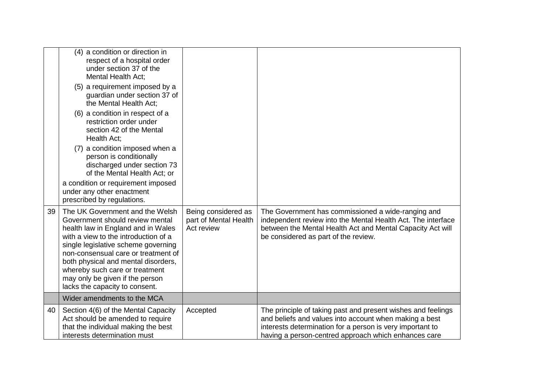|    | (4) a condition or direction in<br>respect of a hospital order<br>under section 37 of the<br><b>Mental Health Act;</b><br>(5) a requirement imposed by a<br>guardian under section 37 of<br>the Mental Health Act:<br>(6) a condition in respect of a                                                                                                                        |                                                            |                                                                                                                                                                                                                                             |
|----|------------------------------------------------------------------------------------------------------------------------------------------------------------------------------------------------------------------------------------------------------------------------------------------------------------------------------------------------------------------------------|------------------------------------------------------------|---------------------------------------------------------------------------------------------------------------------------------------------------------------------------------------------------------------------------------------------|
|    | restriction order under<br>section 42 of the Mental<br>Health Act;                                                                                                                                                                                                                                                                                                           |                                                            |                                                                                                                                                                                                                                             |
|    | (7) a condition imposed when a<br>person is conditionally<br>discharged under section 73<br>of the Mental Health Act; or                                                                                                                                                                                                                                                     |                                                            |                                                                                                                                                                                                                                             |
|    | a condition or requirement imposed<br>under any other enactment<br>prescribed by regulations.                                                                                                                                                                                                                                                                                |                                                            |                                                                                                                                                                                                                                             |
| 39 | The UK Government and the Welsh<br>Government should review mental<br>health law in England and in Wales<br>with a view to the introduction of a<br>single legislative scheme governing<br>non-consensual care or treatment of<br>both physical and mental disorders,<br>whereby such care or treatment<br>may only be given if the person<br>lacks the capacity to consent. | Being considered as<br>part of Mental Health<br>Act review | The Government has commissioned a wide-ranging and<br>independent review into the Mental Health Act. The interface<br>between the Mental Health Act and Mental Capacity Act will<br>be considered as part of the review.                    |
|    | Wider amendments to the MCA                                                                                                                                                                                                                                                                                                                                                  |                                                            |                                                                                                                                                                                                                                             |
| 40 | Section 4(6) of the Mental Capacity<br>Act should be amended to require<br>that the individual making the best<br>interests determination must                                                                                                                                                                                                                               | Accepted                                                   | The principle of taking past and present wishes and feelings<br>and beliefs and values into account when making a best<br>interests determination for a person is very important to<br>having a person-centred approach which enhances care |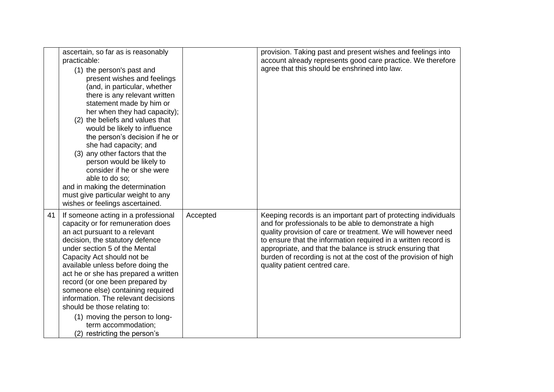|    | ascertain, so far as is reasonably<br>practicable:<br>(1) the person's past and<br>present wishes and feelings<br>(and, in particular, whether<br>there is any relevant written<br>statement made by him or<br>her when they had capacity);<br>(2) the beliefs and values that<br>would be likely to influence<br>the person's decision if he or<br>she had capacity; and<br>(3) any other factors that the<br>person would be likely to<br>consider if he or she were<br>able to do so;<br>and in making the determination<br>must give particular weight to any<br>wishes or feelings ascertained. |          | provision. Taking past and present wishes and feelings into<br>account already represents good care practice. We therefore<br>agree that this should be enshrined into law.                                                                                                                                                                                                                                                 |
|----|------------------------------------------------------------------------------------------------------------------------------------------------------------------------------------------------------------------------------------------------------------------------------------------------------------------------------------------------------------------------------------------------------------------------------------------------------------------------------------------------------------------------------------------------------------------------------------------------------|----------|-----------------------------------------------------------------------------------------------------------------------------------------------------------------------------------------------------------------------------------------------------------------------------------------------------------------------------------------------------------------------------------------------------------------------------|
| 41 | If someone acting in a professional<br>capacity or for remuneration does<br>an act pursuant to a relevant<br>decision, the statutory defence<br>under section 5 of the Mental<br>Capacity Act should not be<br>available unless before doing the<br>act he or she has prepared a written<br>record (or one been prepared by<br>someone else) containing required<br>information. The relevant decisions<br>should be those relating to:<br>(1) moving the person to long-<br>term accommodation;<br>(2) restricting the person's                                                                     | Accepted | Keeping records is an important part of protecting individuals<br>and for professionals to be able to demonstrate a high<br>quality provision of care or treatment. We will however need<br>to ensure that the information required in a written record is<br>appropriate, and that the balance is struck ensuring that<br>burden of recording is not at the cost of the provision of high<br>quality patient centred care. |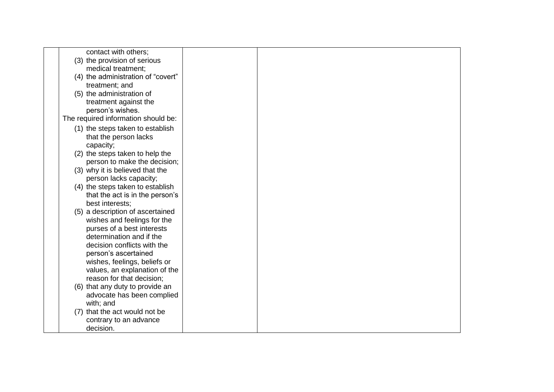| contact with others;                                   |  |  |
|--------------------------------------------------------|--|--|
| (3) the provision of serious                           |  |  |
| medical treatment;                                     |  |  |
| (4) the administration of "covert"                     |  |  |
| treatment; and                                         |  |  |
| (5) the administration of                              |  |  |
| treatment against the                                  |  |  |
| person's wishes.                                       |  |  |
| The required information should be:                    |  |  |
| (1) the steps taken to establish                       |  |  |
| that the person lacks                                  |  |  |
| capacity;                                              |  |  |
| (2) the steps taken to help the                        |  |  |
| person to make the decision;                           |  |  |
| (3) why it is believed that the                        |  |  |
| person lacks capacity;                                 |  |  |
| (4) the steps taken to establish                       |  |  |
| that the act is in the person's                        |  |  |
| best interests;                                        |  |  |
| (5) a description of ascertained                       |  |  |
| wishes and feelings for the                            |  |  |
| purses of a best interests<br>determination and if the |  |  |
| decision conflicts with the                            |  |  |
| person's ascertained                                   |  |  |
| wishes, feelings, beliefs or                           |  |  |
| values, an explanation of the                          |  |  |
| reason for that decision;                              |  |  |
| (6) that any duty to provide an                        |  |  |
| advocate has been complied                             |  |  |
| with; and                                              |  |  |
| (7) that the act would not be                          |  |  |
| contrary to an advance                                 |  |  |
| decision.                                              |  |  |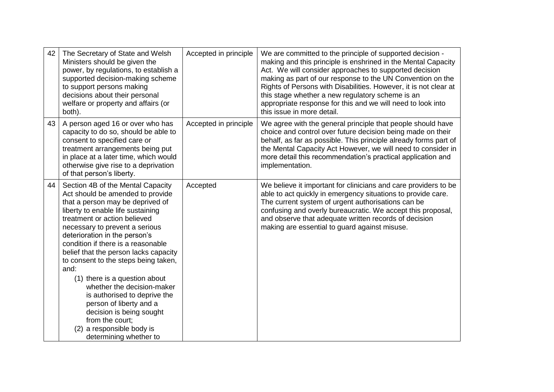| 42 | The Secretary of State and Welsh<br>Ministers should be given the<br>power, by regulations, to establish a<br>supported decision-making scheme<br>to support persons making<br>decisions about their personal<br>welfare or property and affairs (or<br>both).                                                                                                                                                                                                                                                                                                                                                   | Accepted in principle | We are committed to the principle of supported decision -<br>making and this principle is enshrined in the Mental Capacity<br>Act. We will consider approaches to supported decision<br>making as part of our response to the UN Convention on the<br>Rights of Persons with Disabilities. However, it is not clear at<br>this stage whether a new regulatory scheme is an<br>appropriate response for this and we will need to look into<br>this issue in more detail. |
|----|------------------------------------------------------------------------------------------------------------------------------------------------------------------------------------------------------------------------------------------------------------------------------------------------------------------------------------------------------------------------------------------------------------------------------------------------------------------------------------------------------------------------------------------------------------------------------------------------------------------|-----------------------|-------------------------------------------------------------------------------------------------------------------------------------------------------------------------------------------------------------------------------------------------------------------------------------------------------------------------------------------------------------------------------------------------------------------------------------------------------------------------|
| 43 | A person aged 16 or over who has<br>capacity to do so, should be able to<br>consent to specified care or<br>treatment arrangements being put<br>in place at a later time, which would<br>otherwise give rise to a deprivation<br>of that person's liberty.                                                                                                                                                                                                                                                                                                                                                       | Accepted in principle | We agree with the general principle that people should have<br>choice and control over future decision being made on their<br>behalf, as far as possible. This principle already forms part of<br>the Mental Capacity Act However, we will need to consider in<br>more detail this recommendation's practical application and<br>implementation.                                                                                                                        |
| 44 | Section 4B of the Mental Capacity<br>Act should be amended to provide<br>that a person may be deprived of<br>liberty to enable life sustaining<br>treatment or action believed<br>necessary to prevent a serious<br>deterioration in the person's<br>condition if there is a reasonable<br>belief that the person lacks capacity<br>to consent to the steps being taken,<br>and:<br>(1) there is a question about<br>whether the decision-maker<br>is authorised to deprive the<br>person of liberty and a<br>decision is being sought<br>from the court:<br>(2) a responsible body is<br>determining whether to | Accepted              | We believe it important for clinicians and care providers to be<br>able to act quickly in emergency situations to provide care.<br>The current system of urgent authorisations can be<br>confusing and overly bureaucratic. We accept this proposal,<br>and observe that adequate written records of decision<br>making are essential to guard against misuse.                                                                                                          |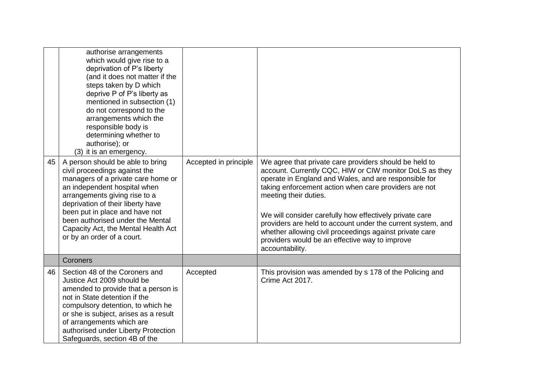| 45 | authorise arrangements<br>which would give rise to a<br>deprivation of P's liberty<br>(and it does not matter if the<br>steps taken by D which<br>deprive P of P's liberty as<br>mentioned in subsection (1)<br>do not correspond to the<br>arrangements which the<br>responsible body is<br>determining whether to<br>authorise); or<br>(3) it is an emergency.<br>A person should be able to bring<br>civil proceedings against the<br>managers of a private care home or<br>an independent hospital when<br>arrangements giving rise to a<br>deprivation of their liberty have<br>been put in place and have not<br>been authorised under the Mental<br>Capacity Act, the Mental Health Act<br>or by an order of a court. | Accepted in principle | We agree that private care providers should be held to<br>account. Currently CQC, HIW or CIW monitor DoLS as they<br>operate in England and Wales, and are responsible for<br>taking enforcement action when care providers are not<br>meeting their duties.<br>We will consider carefully how effectively private care<br>providers are held to account under the current system, and<br>whether allowing civil proceedings against private care<br>providers would be an effective way to improve<br>accountability. |
|----|------------------------------------------------------------------------------------------------------------------------------------------------------------------------------------------------------------------------------------------------------------------------------------------------------------------------------------------------------------------------------------------------------------------------------------------------------------------------------------------------------------------------------------------------------------------------------------------------------------------------------------------------------------------------------------------------------------------------------|-----------------------|------------------------------------------------------------------------------------------------------------------------------------------------------------------------------------------------------------------------------------------------------------------------------------------------------------------------------------------------------------------------------------------------------------------------------------------------------------------------------------------------------------------------|
|    | Coroners                                                                                                                                                                                                                                                                                                                                                                                                                                                                                                                                                                                                                                                                                                                     |                       |                                                                                                                                                                                                                                                                                                                                                                                                                                                                                                                        |
| 46 | Section 48 of the Coroners and<br>Justice Act 2009 should be<br>amended to provide that a person is<br>not in State detention if the<br>compulsory detention, to which he<br>or she is subject, arises as a result<br>of arrangements which are<br>authorised under Liberty Protection<br>Safeguards, section 4B of the                                                                                                                                                                                                                                                                                                                                                                                                      | Accepted              | This provision was amended by s 178 of the Policing and<br>Crime Act 2017.                                                                                                                                                                                                                                                                                                                                                                                                                                             |